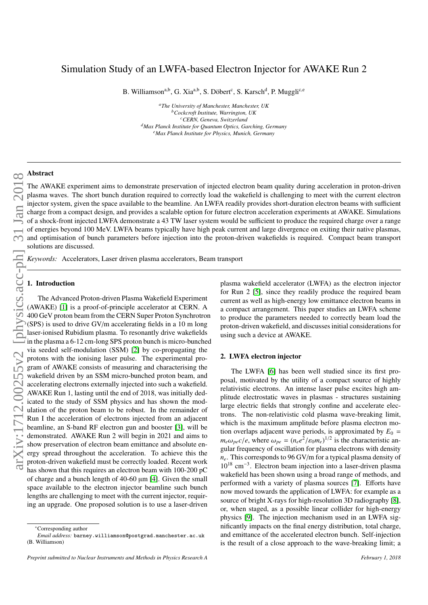# Simulation Study of an LWFA-based Electron Injector for AWAKE Run 2

B. Williamson<sup>a,b</sup>, G. Xia<sup>a,b</sup>, S. Döbert<sup>c</sup>, S. Karsch<sup>d</sup>, P. Muggli<sup>c,e</sup>

*<sup>a</sup>The University of Manchester, Manchester, UK <sup>b</sup>Cockcroft Institute, Warrington, UK <sup>c</sup>CERN, Geneva, Switzerland <sup>d</sup>Max Planck Institute for Quantum Optics, Garching, Germany <sup>e</sup>Max Planck Institute for Physics, Munich, Germany*

## Abstract

The AWAKE experiment aims to demonstrate preservation of injected electron beam quality during acceleration in proton-driven plasma waves. The short bunch duration required to correctly load the wakefield is challenging to meet with the current electron injector system, given the space available to the beamline. An LWFA readily provides short-duration electron beams with sufficient charge from a compact design, and provides a scalable option for future electron acceleration experiments at AWAKE. Simulations of a shock-front injected LWFA demonstrate a 43 TW laser system would be sufficient to produce the required charge over a range of energies beyond 100 MeV. LWFA beams typically have high peak current and large divergence on exiting their native plasmas, and optimisation of bunch parameters before injection into the proton-driven wakefields is required. Compact beam transport solutions are discussed.

*Keywords:* Accelerators, Laser driven plasma accelerators, Beam transport

### 1. Introduction

The Advanced Proton-driven Plasma Wakefield Experiment (AWAKE) [\[1\]](#page-3-0) is a proof-of-principle accelerator at CERN. A 400 GeV proton beam from the CERN Super Proton Synchrotron (SPS) is used to drive GV/m accelerating fields in a 10 m long laser-ionised Rubidium plasma. To resonantly drive wakefields in the plasma a 6-12 cm-long SPS proton bunch is micro-bunched via seeded self-modulation (SSM) [\[2\]](#page-3-1) by co-propagating the protons with the ionising laser pulse. The experimental program of AWAKE consists of measuring and characterising the wakefield driven by an SSM micro-bunched proton beam, and accelerating electrons externally injected into such a wakefield. AWAKE Run 1, lasting until the end of 2018, was initially dedicated to the study of SSM physics and has shown the modulation of the proton beam to be robust. In the remainder of Run I the acceleration of electrons injected from an adjacent beamline, an S-band RF electron gun and booster [\[3\]](#page-3-2), will be demonstrated. AWAKE Run 2 will begin in 2021 and aims to show preservation of electron beam emittance and absolute energy spread throughout the acceleration. To achieve this the proton-driven wakefield must be correctly loaded. Recent work has shown that this requires an electron beam with 100-200 pC of charge and a bunch length of 40-60 µm [\[4\]](#page-3-3). Given the small space available to the electron injector beamline such bunch lengths are challenging to meet with the current injector, requiring an upgrade. One proposed solution is to use a laser-driven

plasma wakefield accelerator (LWFA) as the electron injector for Run 2 [\[5\]](#page-3-4), since they readily produce the required beam current as well as high-energy low emittance electron beams in a compact arrangement. This paper studies an LWFA scheme to produce the parameters needed to correctly beam load the proton-driven wakefield, and discusses initial considerations for using such a device at AWAKE.

### 2. LWFA electron injector

The LWFA [\[6\]](#page-3-5) has been well studied since its first proposal, motivated by the utility of a compact source of highly relativistic electrons. An intense laser pulse excites high amplitude electrostatic waves in plasmas - structures sustaining large electric fields that strongly confine and accelerate electrons. The non-relativistic cold plasma wave-breaking limit, which is the maximum amplitude before plasma electron motion overlaps adjacent wave periods, is approximated by  $E_0 =$  $m_e\omega_{pe}c/e$ , where  $\omega_{pe} = (n_e e^2/\epsilon_0 m_e)^{1/2}$  is the characteristic an-<br>quarefrequency of oscillation for plasma electrons with density gular frequency of oscillation for plasma electrons with density *ne*. This corresponds to 96 GV/m for a typical plasma density of 10<sup>18</sup> cm<sup>−</sup><sup>3</sup> . Electron beam injection into a laser-driven plasma wakefield has been shown using a broad range of methods, and performed with a variety of plasma sources [\[7\]](#page-3-6). Efforts have now moved towards the application of LWFA: for example as a source of bright X-rays for high-resolution 3D radiography [\[8\]](#page-3-7), or, when staged, as a possible linear collider for high-energy physics [\[9\]](#page-3-8). The injection mechanism used in an LWFA significantly impacts on the final energy distribution, total charge, and emittance of the accelerated electron bunch. Self-injection is the result of a close approach to the wave-breaking limit; a

<sup>∗</sup>Corresponding author *Email address:* barney.williamson@postgrad.manchester.ac.uk (B. Williamson)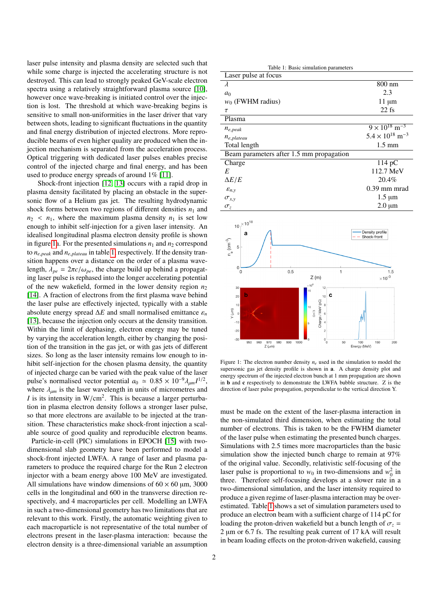laser pulse intensity and plasma density are selected such that while some charge is injected the accelerating structure is not destroyed. This can lead to strongly peaked GeV-scale electron spectra using a relatively straightforward plasma source [\[10\]](#page-3-9), however once wave-breaking is initiated control over the injection is lost. The threshold at which wave-breaking begins is sensitive to small non-uniformities in the laser driver that vary between shots, leading to significant fluctuations in the quantity and final energy distribution of injected electrons. More reproducible beams of even higher quality are produced when the injection mechanism is separated from the acceleration process. Optical triggering with dedicated laser pulses enables precise control of the injected charge and final energy, and has been used to produce energy spreads of around 1% [\[11\]](#page-3-10).

Shock-front injection [\[12,](#page-3-11) [13\]](#page-3-12) occurs with a rapid drop in plasma density facilitated by placing an obstacle in the supersonic flow of a Helium gas jet. The resulting hydrodynamic shock forms between two regions of different densities  $n_1$  and  $n_2$  <  $n_1$ , where the maximum plasma density  $n_1$  is set low enough to inhibit self-injection for a given laser intensity. An idealised longitudinal plasma electron density profile is shown in figure [1a](#page-1-0). For the presented simulations  $n_1$  and  $n_2$  correspond to *<sup>n</sup><sup>e</sup>*,*peak* and *<sup>n</sup><sup>e</sup>*,*plateau* in table [1,](#page-1-1) respectively. If the density transition happens over a distance on the order of a plasma wavelength,  $\lambda_{pe} = 2\pi c/\omega_{pe}$ , the charge build up behind a propagating laser pulse is rephased into the longer accelerating potential of the new wakefield, formed in the lower density region *n*<sup>2</sup> [\[14\]](#page-3-13). A fraction of electrons from the first plasma wave behind the laser pulse are effectively injected, typically with a stable absolute energy spread  $\Delta E$  and small normalised emittance  $\varepsilon_n$ [\[13\]](#page-3-12), because the injection only occurs at the density transition. Within the limit of dephasing, electron energy may be tuned by varying the acceleration length, either by changing the position of the transition in the gas jet, or with gas jets of different sizes. So long as the laser intensity remains low enough to inhibit self-injection for the chosen plasma density, the quantity of injected charge can be varied with the peak value of the laser pulse's normalised vector potential  $a_0 \approx 0.85 \times 10^{-9} \lambda_{\mu m} I^{1/2}$ , where  $\lambda$  is the laser wavelength in units of micrometres and where  $\lambda_{\mu m}$  is the laser wavelength in units of micrometres and *I* is its intensity in  $W/cm^2$ . This is because a larger perturbation in plasma electron density follows a stronger laser pulse tion in plasma electron density follows a stronger laser pulse, so that more electrons are available to be injected at the transition. These characteristics make shock-front injection a scalable source of good quality and reproducible electron beams.

Particle-in-cell (PIC) simulations in EPOCH [\[15\]](#page-3-14) with twodimensional slab geometry have been performed to model a shock-front injected LWFA. A range of laser and plasma parameters to produce the required charge for the Run 2 electron injector with a beam energy above 100 MeV are investigated. All simulations have window dimensions of  $60 \times 60$  µm, 3000 cells in the longitudinal and 600 in the transverse direction respectively, and 4 macroparticles per cell. Modelling an LWFA in such a two-dimensional geometry has two limitations that are relevant to this work. Firstly, the automatic weighting given to each macroparticle is not representative of the total number of electrons present in the laser-plasma interaction: because the electron density is a three-dimensional variable an assumption

<span id="page-1-1"></span>

| Table 1: Basic simulation parameters     |                                      |
|------------------------------------------|--------------------------------------|
| Laser pulse at focus                     |                                      |
| $\lambda$                                | 800 nm                               |
| a <sub>0</sub>                           | 2.3                                  |
| $w_0$ (FWHM radius)                      | $11 \mu m$                           |
| $\tau$                                   | $22$ fs                              |
| Plasma                                   |                                      |
| $n_{e,peak}$                             | $9 \times 10^{18}$ m <sup>-3</sup>   |
| $n_{e,plateau}$                          | $5.4 \times 10^{18}$ m <sup>-3</sup> |
| Total length                             | $1.5 \text{ mm}$                     |
| Beam parameters after 1.5 mm propagation |                                      |
| Charge                                   | $114 \,\mathrm{pC}$                  |
| E                                        | 112.7 MeV                            |
| $\Delta E/E$                             | $20.4\%$                             |
| $\varepsilon_{n,v}$                      | $0.39$ mm mrad                       |
| $\sigma_{x,y}$                           | $1.5 \mu m$                          |
| $\sigma_z$                               | $2.0 \mu m$                          |
|                                          |                                      |



<span id="page-1-0"></span>Figure 1: The electron number density  $n_e$  used in the simulation to model the supersonic gas jet density profile is shown in **a**. A charge density plot and energy spectrum of the injected electron bunch at 1 mm propagation are shown in b and c respectively to demonstrate the LWFA bubble structure. Z is the direction of laser pulse propagation, perpendicular to the vertical direction Y.

must be made on the extent of the laser-plasma interaction in the non-simulated third dimension, when estimating the total number of electrons. This is taken to be the FWHM diameter of the laser pulse when estimating the presented bunch charges. Simulations with 2.5 times more macroparticles than the basic simulation show the injected bunch charge to remain at 97% of the original value. Secondly, relativistic self-focusing of the laser pulse is proportional to  $w_0$  in two-dimensions and  $w_0^2$  in three. Therefore self-focusing develops at a slower rate in a two-dimensional simulation, and the laser intensity required to produce a given regime of laser-plasma interaction may be overestimated. Table [1](#page-1-1) shows a set of simulation parameters used to produce an electron beam with a sufficient charge of 114 pC for loading the proton-driven wakefield but a bunch length of  $\sigma_z$  = 2 µm or 6.7 fs. The resulting peak current of 17 kA will result in beam loading effects on the proton-driven wakefield, causing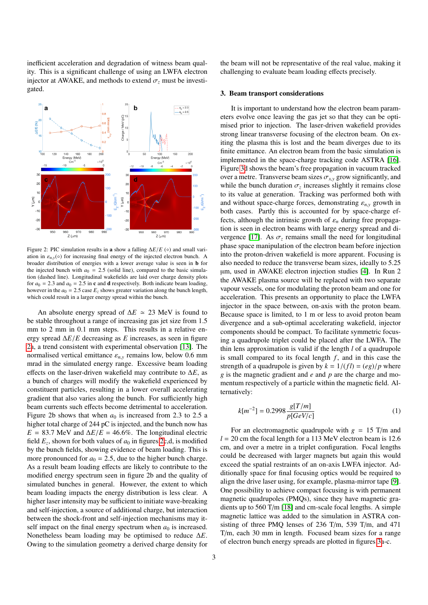inefficient acceleration and degradation of witness beam quality. This is a significant challenge of using an LWFA electron injector at AWAKE, and methods to extend  $\sigma_z$  must be investigated.



<span id="page-2-0"></span>Figure 2: PIC simulation results in a show a falling  $\Delta E/E$  ( $\diamond$ ) and small variation in  $\varepsilon_{n,y}(\circ)$  for increasing final energy of the injected electron bunch. A broader distribution of energies with a lower average value is seen in b for the injected bunch with  $a_0 = 2.5$  (solid line), compared to the basic simulation (dashed line). Longitudinal wakefields are laid over charge density plots for  $a_0 = 2.3$  and  $a_0 = 2.5$  in **c** and **d** respectively. Both indicate beam loading, however in the  $a_0 = 2.5$  case  $E_z$  shows greater variation along the bunch length, which could result in a larger energy spread within the bunch.

An absolute energy spread of  $\Delta E \approx 23$  MeV is found to be stable throughout a range of increasing gas jet size from 1.5 mm to 2 mm in 0.1 mm steps. This results in a relative energy spread <sup>∆</sup>*E*/*<sup>E</sup>* decreasing as *<sup>E</sup>* increases, as seen in figure [2a](#page-2-0), a trend consistent with experimental observation [\[13\]](#page-3-12). The normalised vertical emittance  $\varepsilon_{n,y}$  remains low, below 0.6 mm mrad in the simulated energy range. Excessive beam loading effects on the laser-driven wakefield may contribute to ∆*E*, as a bunch of charges will modify the wakefield experienced by constituent particles, resulting in a lower overall accelerating gradient that also varies along the bunch. For sufficiently high beam currents such effects become detrimental to acceleration. Figure 2b shows that when  $a_0$  is increased from 2.3 to 2.5 a higher total charge of 244 pC is injected, and the bunch now has  $E = 83.7$  MeV and  $\Delta E/E = 46.6\%$ . The longitudinal electric field  $E_z$ , shown for both values of  $a_0$  in figures [2c](#page-2-0),d, is modified by the bunch fields, showing evidence of beam loading. This is more pronounced for  $a_0 = 2.5$ , due to the higher bunch charge. As a result beam loading effects are likely to contribute to the modified energy spectrum seen in figure 2b and the quality of simulated bunches in general. However, the extent to which beam loading impacts the energy distribution is less clear. A higher laser intensity may be sufficient to initiate wave-breaking and self-injection, a source of additional charge, but interaction between the shock-front and self-injection mechanisms may itself impact on the final energy spectrum when  $a_0$  is increased. Nonetheless beam loading may be optimised to reduce ∆*E*. Owing to the simulation geometry a derived charge density for

the beam will not be representative of the real value, making it challenging to evaluate beam loading effects precisely.

### 3. Beam transport considerations

It is important to understand how the electron beam parameters evolve once leaving the gas jet so that they can be optimised prior to injection. The laser-driven wakefield provides strong linear transverse focusing of the electron beam. On exiting the plasma this is lost and the beam diverges due to its finite emittance. An electron beam from the basic simulation is implemented in the space-charge tracking code ASTRA [\[16\]](#page-3-15). Figure [3d](#page-3-16) shows the beam's free propagation in vacuum tracked over a metre. Transverse beam sizes  $\sigma_{xx}$  grow significantly, and while the bunch duration  $\sigma_z$  increases slightly it remains close<br>to its value at generation. Tracking was performed both with to its value at generation. Tracking was performed both with and without space-charge forces, demonstrating  $\varepsilon_{n,v}$  growth in both cases. Partly this is accounted for by space-charge effects, although the intrinsic growth of  $\varepsilon_n$  during free propagation is seen in electron beams with large energy spread and di-vergence [\[17\]](#page-3-17). As  $\sigma_z$  remains small the need for longitudinal phase space manipulation of the electron beam before injection into the proton-driven wakefield is more apparent. Focusing is also needed to reduce the transverse beam sizes, ideally to 5.25 µm, used in AWAKE electron injection studies [\[4\]](#page-3-3). In Run 2 the AWAKE plasma source will be replaced with two separate vapour vessels, one for modulating the proton beam and one for acceleration. This presents an opportunity to place the LWFA injector in the space between, on-axis with the proton beam. Because space is limited, to 1 m or less to avoid proton beam divergence and a sub-optimal accelerating wakefield, injector components should be compact. To facilitate symmetric focusing a quadrupole triplet could be placed after the LWFA. The thin lens approximation is valid if the length *l* of a quadrupole is small compared to its focal length  $f$ , and in this case the strength of a quadrupole is given by  $k = 1/(fl) = (eg)/p$  where *g* is the magnetic gradient and *e* and *p* are the charge and momentum respectively of a particle within the magnetic field. Alternatively:

$$
k[m^{-2}] = 0.2998 \frac{g[T/m]}{p[GeV/c]}
$$
 (1)

For an electromagnetic quadrupole with  $g = 15$  T/m and  $l = 20$  cm the focal length for a 113 MeV electron beam is 12.6 cm, and over a metre in a triplet configuration. Focal lengths could be decreased with larger magnets but again this would exceed the spatial restraints of an on-axis LWFA injector. Additionally space for final focusing optics would be required to align the drive laser using, for example, plasma-mirror tape [\[9\]](#page-3-8). One possibility to achieve compact focusing is with permanent magnetic quadrupoles (PMQs), since they have magnetic gradients up to 560 T/m [\[18\]](#page-3-18) and cm-scale focal lengths. A simple magnetic lattice was added to the simulation in ASTRA consisting of three PMQ lenses of 236 T/m, 539 T/m, and 471 T/m, each 30 mm in length. Focused beam sizes for a range of electron bunch energy spreads are plotted in figures [3a](#page-3-16)-c.